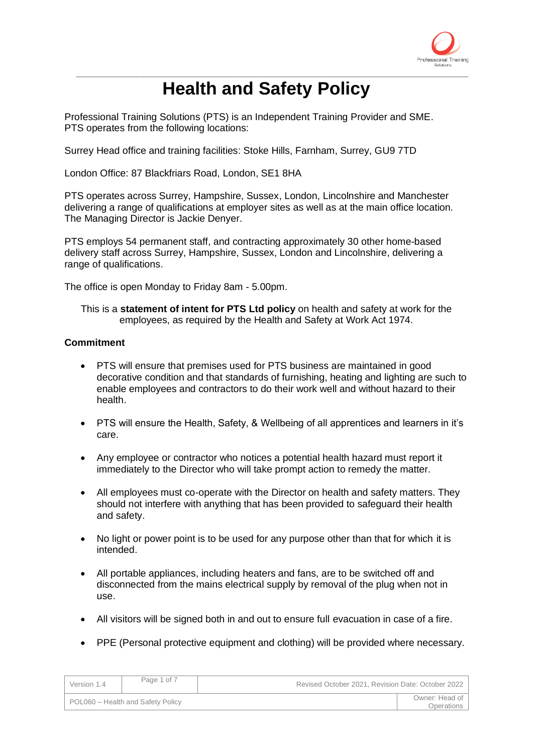

# \_\_\_\_\_\_\_\_\_\_\_\_\_\_\_\_\_\_\_\_\_\_\_\_\_\_\_\_\_\_\_\_\_\_\_\_\_\_\_\_\_\_\_\_\_\_\_\_\_\_\_\_\_\_\_\_\_\_\_\_\_\_\_\_\_\_\_\_\_\_\_\_\_\_\_\_\_\_\_\_ **Health and Safety Policy**

Professional Training Solutions (PTS) is an Independent Training Provider and SME. PTS operates from the following locations:

Surrey Head office and training facilities: Stoke Hills, Farnham, Surrey, GU9 7TD

London Office: 87 Blackfriars Road, London, SE1 8HA

PTS operates across Surrey, Hampshire, Sussex, London, Lincolnshire and Manchester delivering a range of qualifications at employer sites as well as at the main office location. The Managing Director is Jackie Denyer.

PTS employs 54 permanent staff, and contracting approximately 30 other home-based delivery staff across Surrey, Hampshire, Sussex, London and Lincolnshire, delivering a range of qualifications.

The office is open Monday to Friday 8am - 5.00pm.

This is a **statement of intent for PTS Ltd policy** on health and safety at work for the employees, as required by the Health and Safety at Work Act 1974.

### **Commitment**

- PTS will ensure that premises used for PTS business are maintained in good decorative condition and that standards of furnishing, heating and lighting are such to enable employees and contractors to do their work well and without hazard to their health.
- PTS will ensure the Health, Safety, & Wellbeing of all apprentices and learners in it's care.
- Any employee or contractor who notices a potential health hazard must report it immediately to the Director who will take prompt action to remedy the matter.
- All employees must co-operate with the Director on health and safety matters. They should not interfere with anything that has been provided to safeguard their health and safety.
- No light or power point is to be used for any purpose other than that for which it is intended.
- All portable appliances, including heaters and fans, are to be switched off and disconnected from the mains electrical supply by removal of the plug when not in use.
- All visitors will be signed both in and out to ensure full evacuation in case of a fire.
- PPE (Personal protective equipment and clothing) will be provided where necessary.

| Version 1.4                       | Page 1 of 7 | Revised October 2021, Revision Date: October 2022 |                              |
|-----------------------------------|-------------|---------------------------------------------------|------------------------------|
| POL060 - Health and Safety Policy |             |                                                   | Owner: Head of<br>Operations |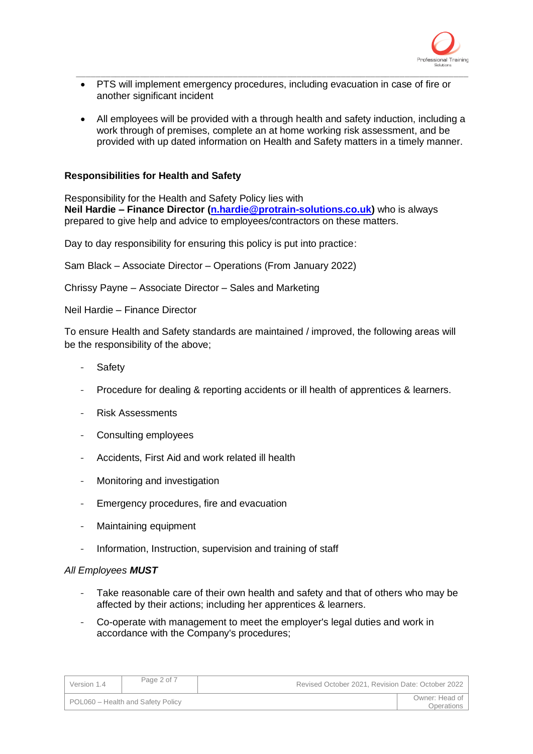

• PTS will implement emergency procedures, including evacuation in case of fire or another significant incident

\_\_\_\_\_\_\_\_\_\_\_\_\_\_\_\_\_\_\_\_\_\_\_\_\_\_\_\_\_\_\_\_\_\_\_\_\_\_\_\_\_\_\_\_\_\_\_\_\_\_\_\_\_\_\_\_\_\_\_\_\_\_\_\_\_\_\_\_\_\_\_\_\_\_\_\_\_\_\_\_

• All employees will be provided with a through health and safety induction, including a work through of premises, complete an at home working risk assessment, and be provided with up dated information on Health and Safety matters in a timely manner.

### **Responsibilities for Health and Safety**

Responsibility for the Health and Safety Policy lies with **Neil Hardie – Finance Director [\(n.hardie@protrain-solutions.co.uk\)](mailto:n.hardie@protrain-solutions.co.uk)** who is always prepared to give help and advice to employees/contractors on these matters.

Day to day responsibility for ensuring this policy is put into practice:

Sam Black – Associate Director – Operations (From January 2022)

Chrissy Payne – Associate Director – Sales and Marketing

Neil Hardie – Finance Director

To ensure Health and Safety standards are maintained / improved, the following areas will be the responsibility of the above;

- **Safety**
- Procedure for dealing & reporting accidents or ill health of apprentices & learners.
- Risk Assessments
- Consulting employees
- Accidents, First Aid and work related ill health
- Monitoring and investigation
- Emergency procedures, fire and evacuation
- Maintaining equipment
- Information, Instruction, supervision and training of staff

### *All Employees MUST*

- Take reasonable care of their own health and safety and that of others who may be affected by their actions; including her apprentices & learners.
- Co-operate with management to meet the employer's legal duties and work in accordance with the Company's procedures;

| Version 1.4                       | Page 2 of 7 | Revised October 2021, Revision Date: October 2022 |  |
|-----------------------------------|-------------|---------------------------------------------------|--|
| POL060 - Health and Safety Policy |             | Owner: Head of<br>Operations                      |  |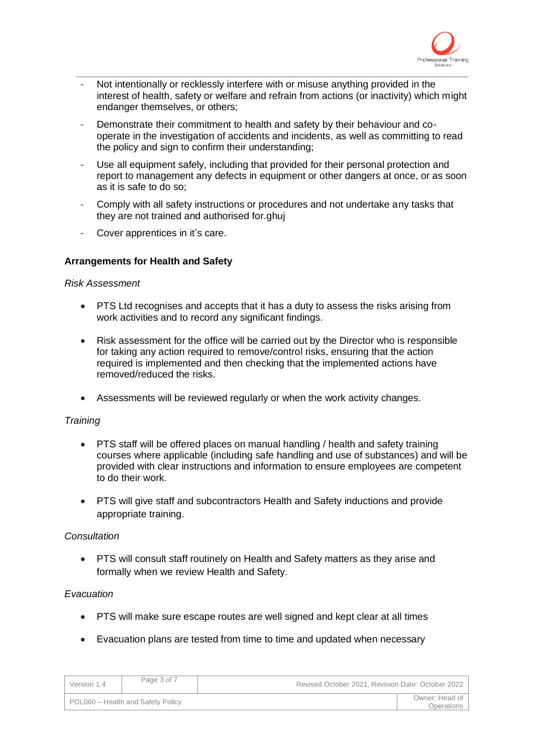

Not intentionally or recklessly interfere with or misuse anything provided in the interest of health, safety or welfare and refrain from actions (or inactivity) which might endanger themselves, or others;

\_\_\_\_\_\_\_\_\_\_\_\_\_\_\_\_\_\_\_\_\_\_\_\_\_\_\_\_\_\_\_\_\_\_\_\_\_\_\_\_\_\_\_\_\_\_\_\_\_\_\_\_\_\_\_\_\_\_\_\_\_\_\_\_\_\_\_\_\_\_\_\_\_\_\_\_\_\_\_\_

- Demonstrate their commitment to health and safety by their behaviour and cooperate in the investigation of accidents and incidents, as well as committing to read the policy and sign to confirm their understanding;
- Use all equipment safely, including that provided for their personal protection and report to management any defects in equipment or other dangers at once, or as soon as it is safe to do so;
- Comply with all safety instructions or procedures and not undertake any tasks that they are not trained and authorised for.ghuj
- Cover apprentices in it's care.

# **Arrangements for Health and Safety**

### *Risk Assessment*

- PTS Ltd recognises and accepts that it has a duty to assess the risks arising from work activities and to record any significant findings.
- Risk assessment for the office will be carried out by the Director who is responsible for taking any action required to remove/control risks, ensuring that the action required is implemented and then checking that the implemented actions have removed/reduced the risks.
- Assessments will be reviewed regularly or when the work activity changes.

# *Training*

- PTS staff will be offered places on manual handling / health and safety training courses where applicable (including safe handling and use of substances) and will be provided with clear instructions and information to ensure employees are competent to do their work.
- PTS will give staff and subcontractors Health and Safety inductions and provide appropriate training.

### *Consultation*

• PTS will consult staff routinely on Health and Safety matters as they arise and formally when we review Health and Safety.

# *Evacuation*

- PTS will make sure escape routes are well signed and kept clear at all times
- Evacuation plans are tested from time to time and updated when necessary

| Version 1.4                       | Page 3 of 7 | Revised October 2021, Revision Date: October 2022 |                              |
|-----------------------------------|-------------|---------------------------------------------------|------------------------------|
| POL060 - Health and Safety Policy |             |                                                   | Owner: Head of<br>Operations |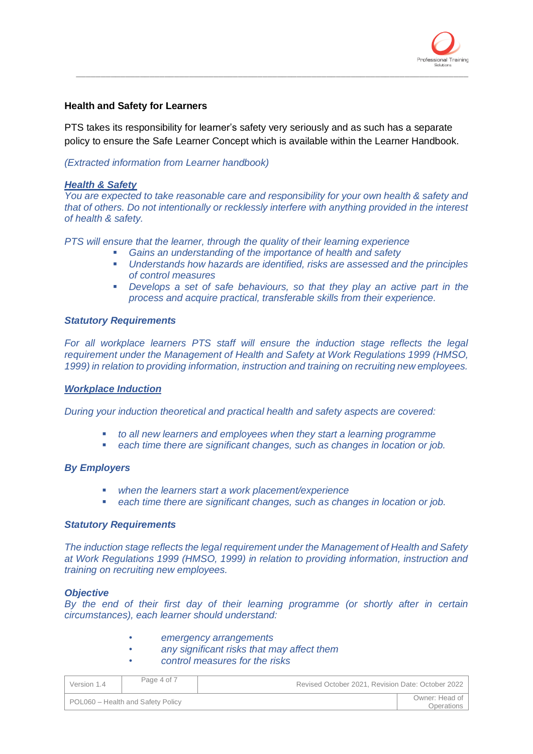

### **Health and Safety for Learners**

PTS takes its responsibility for learner's safety very seriously and as such has a separate policy to ensure the Safe Learner Concept which is available within the Learner Handbook.

\_\_\_\_\_\_\_\_\_\_\_\_\_\_\_\_\_\_\_\_\_\_\_\_\_\_\_\_\_\_\_\_\_\_\_\_\_\_\_\_\_\_\_\_\_\_\_\_\_\_\_\_\_\_\_\_\_\_\_\_\_\_\_\_\_\_\_\_\_\_\_\_\_\_\_\_\_\_\_\_

### *(Extracted information from Learner handbook)*

### *Health & Safety*

*You are expected to take reasonable care and responsibility for your own health & safety and that of others. Do not intentionally or recklessly interfere with anything provided in the interest of health & safety.* 

*PTS will ensure that the learner, through the quality of their learning experience*

- *Gains an understanding of the importance of health and safety*
- *Understands how hazards are identified, risks are assessed and the principles of control measures*
- *Develops a set of safe behaviours, so that they play an active part in the process and acquire practical, transferable skills from their experience.*

### *Statutory Requirements*

*For all workplace learners PTS staff will ensure the induction stage reflects the legal requirement under the Management of Health and Safety at Work Regulations 1999 (HMSO, 1999) in relation to providing information, instruction and training on recruiting new employees.*

#### *Workplace Induction*

*During your induction theoretical and practical health and safety aspects are covered:*

- *to all new learners and employees when they start a learning programme*
- each time there are significant changes, such as changes in location or job.

#### *By Employers*

- *when the learners start a work placement/experience*
- *each time there are significant changes, such as changes in location or job.*

#### *Statutory Requirements*

*The induction stage reflects the legal requirement under the Management of Health and Safety at Work Regulations 1999 (HMSO, 1999) in relation to providing information, instruction and training on recruiting new employees.*

#### *Objective*

*By the end of their first day of their learning programme (or shortly after in certain circumstances), each learner should understand:*

- *• emergency arrangements*
- *• any significant risks that may affect them*
- *• control measures for the risks*

| Version 1.4                       | Page 4 of 7 | Revised October 2021, Revision Date: October 2022 |                              |
|-----------------------------------|-------------|---------------------------------------------------|------------------------------|
| POL060 - Health and Safety Policy |             |                                                   | Owner: Head of<br>Operations |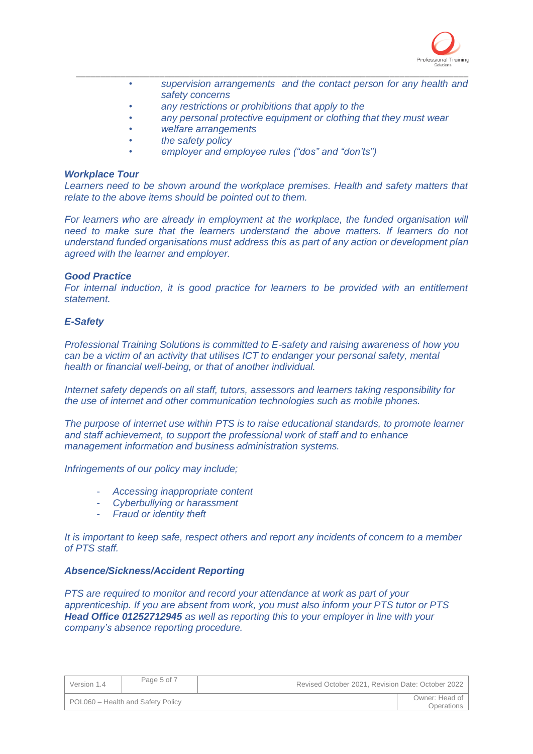

- *• supervision arrangements and the contact person for any health and safety concerns*
- *• any restrictions or prohibitions that apply to the*
- *• any personal protective equipment or clothing that they must wear*

\_\_\_\_\_\_\_\_\_\_\_\_\_\_\_\_\_\_\_\_\_\_\_\_\_\_\_\_\_\_\_\_\_\_\_\_\_\_\_\_\_\_\_\_\_\_\_\_\_\_\_\_\_\_\_\_\_\_\_\_\_\_\_\_\_\_\_\_\_\_\_\_\_\_\_\_\_\_\_\_

- *• welfare arrangements*
- *• the safety policy*
- *• employer and employee rules ("dos" and "don'ts")*

### *Workplace Tour*

Learners need to be shown around the workplace premises. Health and safety matters that *relate to the above items should be pointed out to them.*

For learners who are already in employment at the workplace, the funded organisation will *need to make sure that the learners understand the above matters. If learners do not understand funded organisations must address this as part of any action or development plan agreed with the learner and employer.*

### *Good Practice*

For internal induction, it is good practice for learners to be provided with an entitlement *statement.*

# *E-Safety*

*Professional Training Solutions is committed to E-safety and raising awareness of how you can be a victim of an activity that utilises ICT to endanger your personal safety, mental health or financial well-being, or that of another individual.*

*Internet safety depends on all staff, tutors, assessors and learners taking responsibility for the use of internet and other communication technologies such as mobile phones.*

*The purpose of internet use within PTS is to raise educational standards, to promote learner and staff achievement, to support the professional work of staff and to enhance management information and business administration systems.* 

### *Infringements of our policy may include;*

- *Accessing inappropriate content*
- *Cyberbullying or harassment*
- *Fraud or identity theft*

*It is important to keep safe, respect others and report any incidents of concern to a member of PTS staff.* 

### *Absence/Sickness/Accident Reporting*

*PTS are required to monitor and record your attendance at work as part of your apprenticeship. If you are absent from work, you must also inform your PTS tutor or PTS Head Office 01252712945 as well as reporting this to your employer in line with your company's absence reporting procedure.*

| Version 1.4                       | Page 5 of 7 | Revised October 2021, Revision Date: October 2022 |                              |
|-----------------------------------|-------------|---------------------------------------------------|------------------------------|
| POL060 - Health and Safety Policy |             |                                                   | Owner: Head of<br>Operations |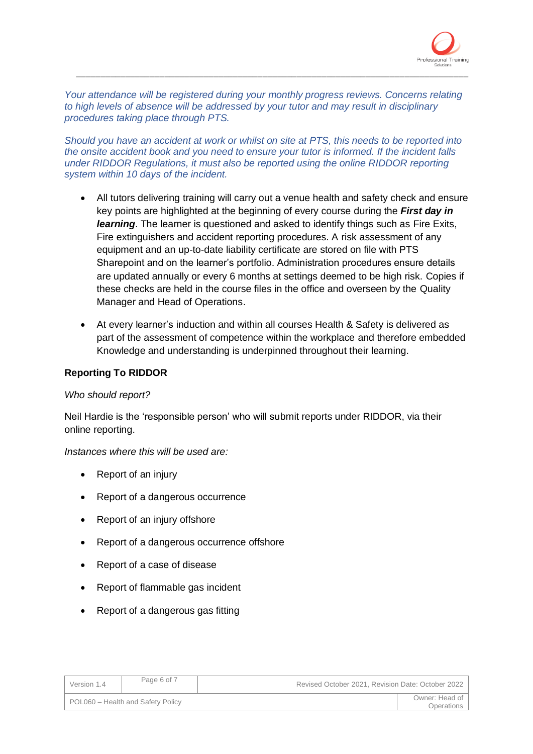

*Your attendance will be registered during your monthly progress reviews. Concerns relating to high levels of absence will be addressed by your tutor and may result in disciplinary procedures taking place through PTS.*

\_\_\_\_\_\_\_\_\_\_\_\_\_\_\_\_\_\_\_\_\_\_\_\_\_\_\_\_\_\_\_\_\_\_\_\_\_\_\_\_\_\_\_\_\_\_\_\_\_\_\_\_\_\_\_\_\_\_\_\_\_\_\_\_\_\_\_\_\_\_\_\_\_\_\_\_\_\_\_\_

*Should you have an accident at work or whilst on site at PTS, this needs to be reported into the onsite accident book and you need to ensure your tutor is informed. If the incident falls under RIDDOR Regulations, it must also be reported using the online RIDDOR reporting system within 10 days of the incident.*

- All tutors delivering training will carry out a venue health and safety check and ensure key points are highlighted at the beginning of every course during the *First day in learning*. The learner is questioned and asked to identify things such as Fire Exits, Fire extinguishers and accident reporting procedures. A risk assessment of any equipment and an up-to-date liability certificate are stored on file with PTS Sharepoint and on the learner's portfolio. Administration procedures ensure details are updated annually or every 6 months at settings deemed to be high risk. Copies if these checks are held in the course files in the office and overseen by the Quality Manager and Head of Operations.
- At every learner's induction and within all courses Health & Safety is delivered as part of the assessment of competence within the workplace and therefore embedded Knowledge and understanding is underpinned throughout their learning.

# **Reporting To RIDDOR**

# *Who should report?*

Neil Hardie is the 'responsible person' who will submit reports under RIDDOR, via their online reporting.

# *Instances where this will be used are:*

- Report of an injury
- Report of a dangerous occurrence
- Report of an injury offshore
- Report of a dangerous occurrence offshore
- Report of a case of disease
- Report of flammable gas incident
- Report of a dangerous gas fitting

| Version 1.4                       | Page 6 of 7 | Revised October 2021, Revision Date: October 2022 |                              |
|-----------------------------------|-------------|---------------------------------------------------|------------------------------|
| POL060 - Health and Safety Policy |             |                                                   | Owner: Head of<br>Operations |